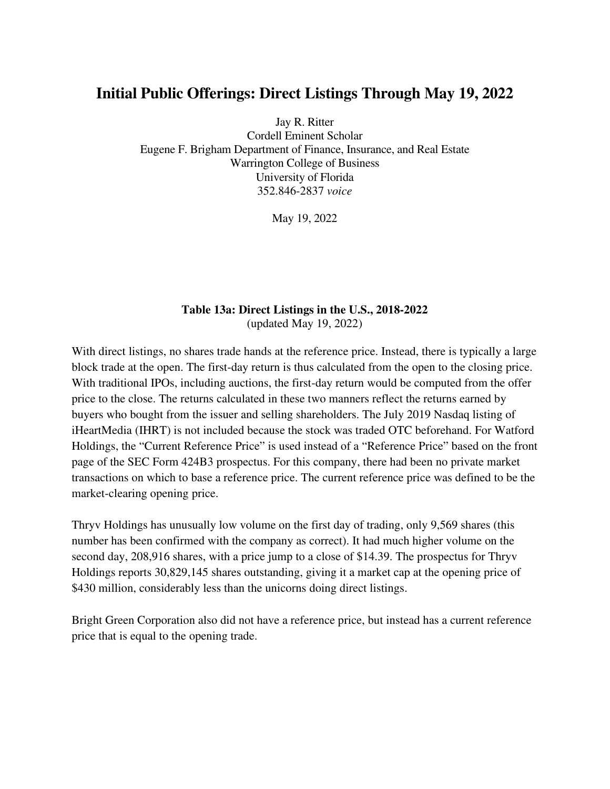## **Initial Public Offerings: Direct Listings Through May 19, 2022**

Jay R. Ritter

Cordell Eminent Scholar Eugene F. Brigham Department of Finance, Insurance, and Real Estate Warrington College of Business University of Florida 352.846-2837 *voice* 

May 19, 2022

## **Table 13a: Direct Listings in the U.S., 2018-2022**  (updated May 19, 2022)

With direct listings, no shares trade hands at the reference price. Instead, there is typically a large block trade at the open. The first-day return is thus calculated from the open to the closing price. With traditional IPOs, including auctions, the first-day return would be computed from the offer price to the close. The returns calculated in these two manners reflect the returns earned by buyers who bought from the issuer and selling shareholders. The July 2019 Nasdaq listing of iHeartMedia (IHRT) is not included because the stock was traded OTC beforehand. For Watford Holdings, the "Current Reference Price" is used instead of a "Reference Price" based on the front page of the SEC Form 424B3 prospectus. For this company, there had been no private market transactions on which to base a reference price. The current reference price was defined to be the market-clearing opening price.

Thryv Holdings has unusually low volume on the first day of trading, only 9,569 shares (this number has been confirmed with the company as correct). It had much higher volume on the second day, 208,916 shares, with a price jump to a close of \$14.39. The prospectus for Thryv Holdings reports 30,829,145 shares outstanding, giving it a market cap at the opening price of \$430 million, considerably less than the unicorns doing direct listings.

Bright Green Corporation also did not have a reference price, but instead has a current reference price that is equal to the opening trade.